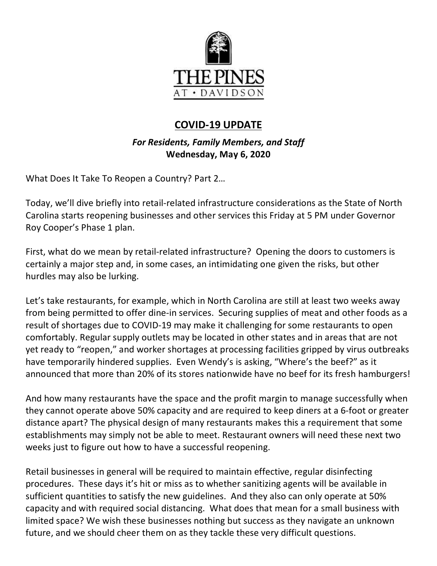

# **COVID-19 UPDATE**

*For Residents, Family Members, and Staff* **Wednesday, May 6, 2020**

What Does It Take To Reopen a Country? Part 2…

Today, we'll dive briefly into retail-related infrastructure considerations as the State of North Carolina starts reopening businesses and other services this Friday at 5 PM under Governor Roy Cooper's Phase 1 plan.

First, what do we mean by retail-related infrastructure? Opening the doors to customers is certainly a major step and, in some cases, an intimidating one given the risks, but other hurdles may also be lurking.

Let's take restaurants, for example, which in North Carolina are still at least two weeks away from being permitted to offer dine-in services. Securing supplies of meat and other foods as a result of shortages due to COVID-19 may make it challenging for some restaurants to open comfortably. Regular supply outlets may be located in other states and in areas that are not yet ready to "reopen," and worker shortages at processing facilities gripped by virus outbreaks have temporarily hindered supplies. Even Wendy's is asking, "Where's the beef?" as it announced that more than 20% of its stores nationwide have no beef for its fresh hamburgers!

And how many restaurants have the space and the profit margin to manage successfully when they cannot operate above 50% capacity and are required to keep diners at a 6-foot or greater distance apart? The physical design of many restaurants makes this a requirement that some establishments may simply not be able to meet. Restaurant owners will need these next two weeks just to figure out how to have a successful reopening.

Retail businesses in general will be required to maintain effective, regular disinfecting procedures. These days it's hit or miss as to whether sanitizing agents will be available in sufficient quantities to satisfy the new guidelines. And they also can only operate at 50% capacity and with required social distancing. What does that mean for a small business with limited space? We wish these businesses nothing but success as they navigate an unknown future, and we should cheer them on as they tackle these very difficult questions.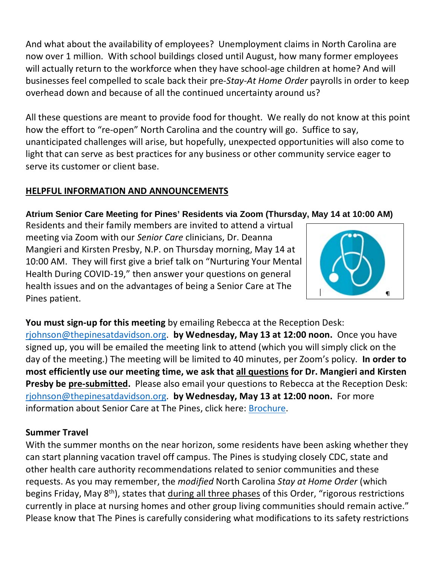And what about the availability of employees? Unemployment claims in North Carolina are now over 1 million. With school buildings closed until August, how many former employees will actually return to the workforce when they have school-age children at home? And will businesses feel compelled to scale back their pre-*Stay-At Home Order* payrolls in order to keep overhead down and because of all the continued uncertainty around us?

All these questions are meant to provide food for thought. We really do not know at this point how the effort to "re-open" North Carolina and the country will go. Suffice to say, unanticipated challenges will arise, but hopefully, unexpected opportunities will also come to light that can serve as best practices for any business or other community service eager to serve its customer or client base.

## **HELPFUL INFORMATION AND ANNOUNCEMENTS**

## **Atrium Senior Care Meeting for Pines' Residents via Zoom (Thursday, May 14 at 10:00 AM)**

Residents and their family members are invited to attend a virtual meeting via Zoom with our *Senior Care* clinicians, Dr. Deanna Mangieri and Kirsten Presby, N.P. on Thursday morning, May 14 at 10:00 AM. They will first give a brief talk on "Nurturing Your Mental Health During COVID-19," then answer your questions on general health issues and on the advantages of being a Senior Care at The Pines patient.



**You must sign-up for this meeting** by emailing Rebecca at the Reception Desk: [rjohnson@thepinesatdavidson.org.](mailto:rjohnson@thepinesatdavidson.org) **by Wednesday, May 13 at 12:00 noon.** Once you have signed up, you will be emailed the meeting link to attend (which you will simply click on the day of the meeting.) The meeting will be limited to 40 minutes, per Zoom's policy. **In order to most efficiently use our meeting time, we ask that all questions for Dr. Mangieri and Kirsten Presby be pre-submitted.** Please also email your questions to Rebecca at the Reception Desk: [rjohnson@thepinesatdavidson.org.](mailto:rjohnson@thepinesatdavidson.org) **by Wednesday, May 13 at 12:00 noon.** For more information about Senior Care at The Pines, click here: [Brochure.](https://www.mycommunity-center.com/filephotos/463/SeniorCare_Trifold_p1%20%28002%29.pdf)

#### **Summer Travel**

With the summer months on the near horizon, some residents have been asking whether they can start planning vacation travel off campus. The Pines is studying closely CDC, state and other health care authority recommendations related to senior communities and these requests. As you may remember, the *modified* North Carolina *Stay at Home Order* (which begins Friday, May 8<sup>th</sup>), states that during all three phases of this Order, "rigorous restrictions currently in place at nursing homes and other group living communities should remain active." Please know that The Pines is carefully considering what modifications to its safety restrictions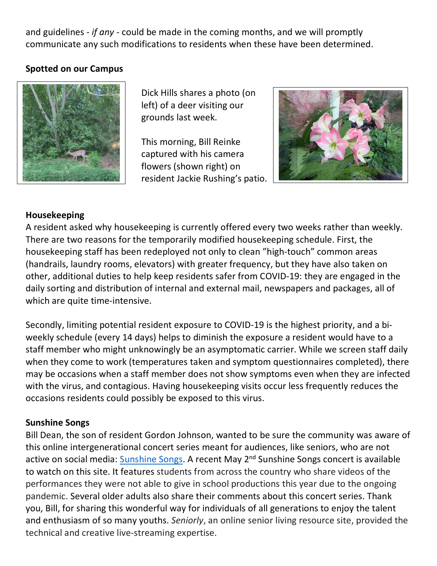and guidelines - *if any* - could be made in the coming months, and we will promptly communicate any such modifications to residents when these have been determined.

#### **Spotted on our Campus**



Dick Hills shares a photo (on left) of a deer visiting our grounds last week.

This morning, Bill Reinke captured with his camera flowers (shown right) on resident Jackie Rushing's patio.



#### **Housekeeping**

A resident asked why housekeeping is currently offered every two weeks rather than weekly. There are two reasons for the temporarily modified housekeeping schedule. First, the housekeeping staff has been redeployed not only to clean "high-touch" common areas (handrails, laundry rooms, elevators) with greater frequency, but they have also taken on other, additional duties to help keep residents safer from COVID-19: they are engaged in the daily sorting and distribution of internal and external mail, newspapers and packages, all of which are quite time-intensive.

Secondly, limiting potential resident exposure to COVID-19 is the highest priority, and a biweekly schedule (every 14 days) helps to diminish the exposure a resident would have to a staff member who might unknowingly be an asymptomatic carrier. While we screen staff daily when they come to work (temperatures taken and symptom questionnaires completed), there may be occasions when a staff member does not show symptoms even when they are infected with the virus, and contagious. Having housekeeping visits occur less frequently reduces the occasions residents could possibly be exposed to this virus.

#### **Sunshine Songs**

Bill Dean, the son of resident Gordon Johnson, wanted to be sure the community was aware of this online intergenerational concert series meant for audiences, like seniors, who are not active on social media: [Sunshine Songs.](https://sunshinesongs.com/) A recent May 2<sup>nd</sup> Sunshine Songs concert is available to watch on this site. It features students from across the country who share videos of the performances they were not able to give in school productions this year due to the ongoing pandemic. Several older adults also share their comments about this concert series. Thank you, Bill, for sharing this wonderful way for individuals of all generations to enjoy the talent and enthusiasm of so many youths. *Seniorly*, an online senior living resource site, provided the technical and creative live-streaming expertise.